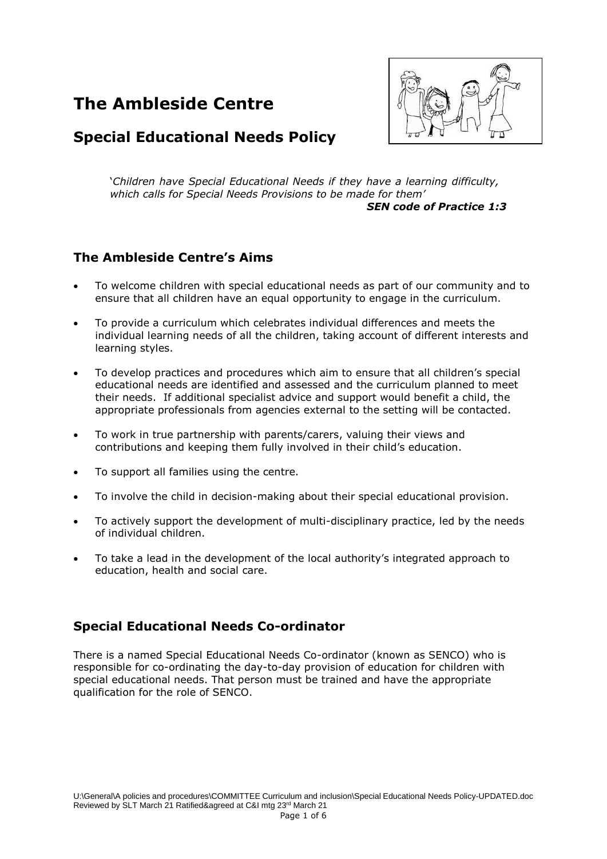# **The Ambleside Centre**



# **Special Educational Needs Policy**

'*Children have Special Educational Needs if they have a learning difficulty, which calls for Special Needs Provisions to be made for them' SEN code of Practice 1:3*

#### **The Ambleside Centre's Aims**

- To welcome children with special educational needs as part of our community and to ensure that all children have an equal opportunity to engage in the curriculum.
- To provide a curriculum which celebrates individual differences and meets the individual learning needs of all the children, taking account of different interests and learning styles.
- To develop practices and procedures which aim to ensure that all children's special educational needs are identified and assessed and the curriculum planned to meet their needs. If additional specialist advice and support would benefit a child, the appropriate professionals from agencies external to the setting will be contacted.
- To work in true partnership with parents/carers, valuing their views and contributions and keeping them fully involved in their child's education.
- To support all families using the centre.
- To involve the child in decision-making about their special educational provision.
- To actively support the development of multi-disciplinary practice, led by the needs of individual children.
- To take a lead in the development of the local authority's integrated approach to education, health and social care.

#### **Special Educational Needs Co-ordinator**

There is a named Special Educational Needs Co-ordinator (known as SENCO) who is responsible for co-ordinating the day-to-day provision of education for children with special educational needs. That person must be trained and have the appropriate qualification for the role of SENCO.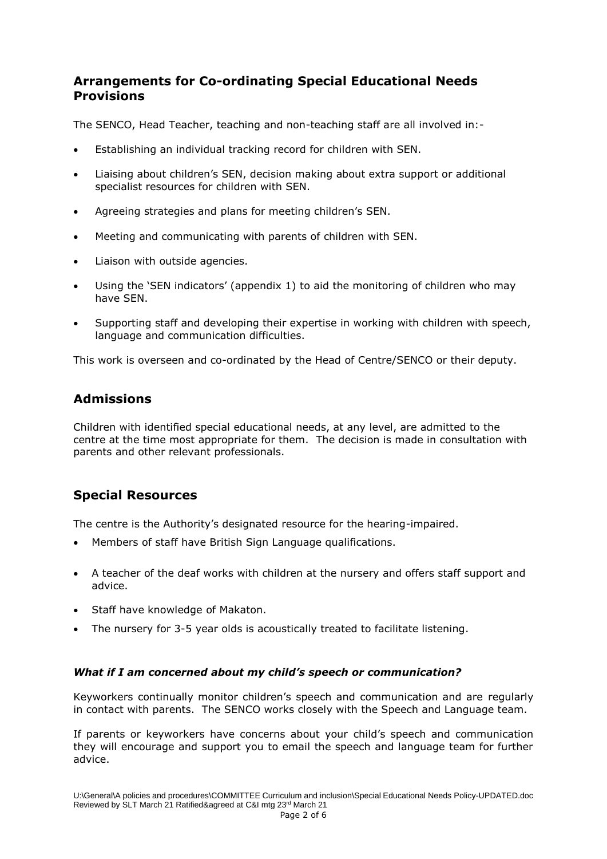## **Arrangements for Co-ordinating Special Educational Needs Provisions**

The SENCO, Head Teacher, teaching and non-teaching staff are all involved in:-

- Establishing an individual tracking record for children with SEN.
- Liaising about children's SEN, decision making about extra support or additional specialist resources for children with SEN.
- Agreeing strategies and plans for meeting children's SEN.
- Meeting and communicating with parents of children with SEN.
- Liaison with outside agencies.
- Using the 'SEN indicators' (appendix 1) to aid the monitoring of children who may have SEN.
- Supporting staff and developing their expertise in working with children with speech, language and communication difficulties.

This work is overseen and co-ordinated by the Head of Centre/SENCO or their deputy.

## **Admissions**

Children with identified special educational needs, at any level, are admitted to the centre at the time most appropriate for them. The decision is made in consultation with parents and other relevant professionals.

# **Special Resources**

The centre is the Authority's designated resource for the hearing-impaired.

- Members of staff have British Sign Language qualifications.
- A teacher of the deaf works with children at the nursery and offers staff support and advice.
- Staff have knowledge of Makaton.
- The nursery for 3-5 year olds is acoustically treated to facilitate listening.

#### *What if I am concerned about my child's speech or communication?*

Keyworkers continually monitor children's speech and communication and are regularly in contact with parents. The SENCO works closely with the Speech and Language team.

If parents or keyworkers have concerns about your child's speech and communication they will encourage and support you to email the speech and language team for further advice.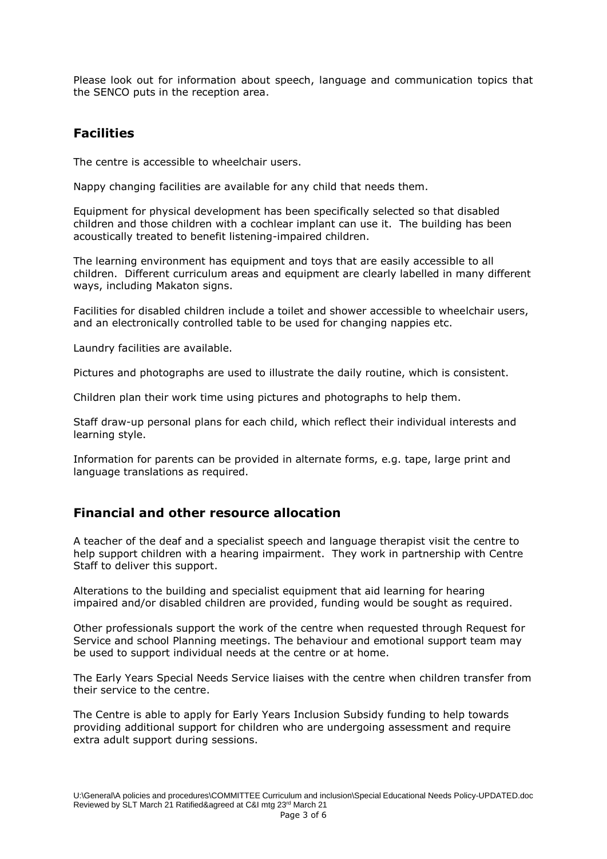Please look out for information about speech, language and communication topics that the SENCO puts in the reception area.

#### **Facilities**

The centre is accessible to wheelchair users.

Nappy changing facilities are available for any child that needs them.

Equipment for physical development has been specifically selected so that disabled children and those children with a cochlear implant can use it. The building has been acoustically treated to benefit listening-impaired children.

The learning environment has equipment and toys that are easily accessible to all children. Different curriculum areas and equipment are clearly labelled in many different ways, including Makaton signs.

Facilities for disabled children include a toilet and shower accessible to wheelchair users, and an electronically controlled table to be used for changing nappies etc.

Laundry facilities are available.

Pictures and photographs are used to illustrate the daily routine, which is consistent.

Children plan their work time using pictures and photographs to help them.

Staff draw-up personal plans for each child, which reflect their individual interests and learning style.

Information for parents can be provided in alternate forms, e.g. tape, large print and language translations as required.

#### **Financial and other resource allocation**

A teacher of the deaf and a specialist speech and language therapist visit the centre to help support children with a hearing impairment. They work in partnership with Centre Staff to deliver this support.

Alterations to the building and specialist equipment that aid learning for hearing impaired and/or disabled children are provided, funding would be sought as required.

Other professionals support the work of the centre when requested through Request for Service and school Planning meetings. The behaviour and emotional support team may be used to support individual needs at the centre or at home.

The Early Years Special Needs Service liaises with the centre when children transfer from their service to the centre.

The Centre is able to apply for Early Years Inclusion Subsidy funding to help towards providing additional support for children who are undergoing assessment and require extra adult support during sessions.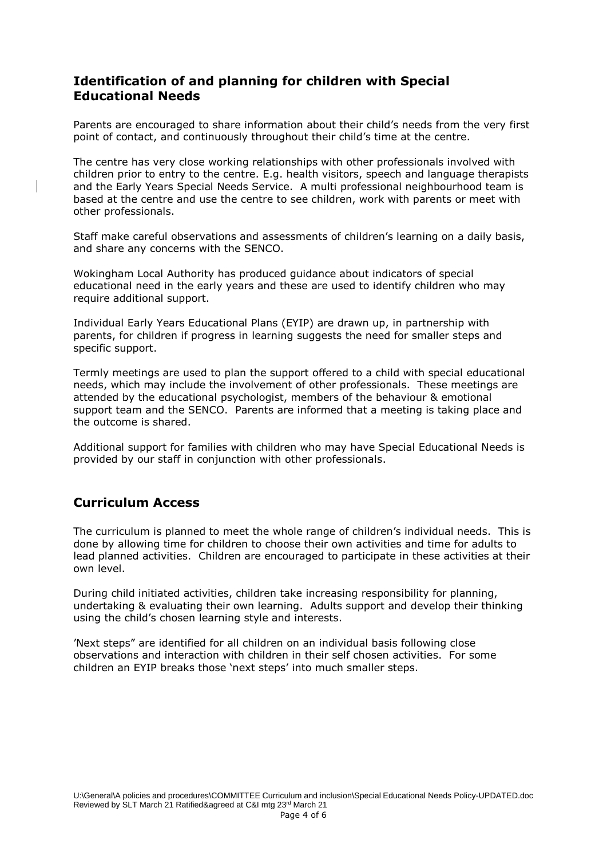### **Identification of and planning for children with Special Educational Needs**

Parents are encouraged to share information about their child's needs from the very first point of contact, and continuously throughout their child's time at the centre.

The centre has very close working relationships with other professionals involved with children prior to entry to the centre. E.g. health visitors, speech and language therapists and the Early Years Special Needs Service. A multi professional neighbourhood team is based at the centre and use the centre to see children, work with parents or meet with other professionals.

Staff make careful observations and assessments of children's learning on a daily basis, and share any concerns with the SENCO.

Wokingham Local Authority has produced guidance about indicators of special educational need in the early years and these are used to identify children who may require additional support.

Individual Early Years Educational Plans (EYIP) are drawn up, in partnership with parents, for children if progress in learning suggests the need for smaller steps and specific support.

Termly meetings are used to plan the support offered to a child with special educational needs, which may include the involvement of other professionals. These meetings are attended by the educational psychologist, members of the behaviour & emotional support team and the SENCO. Parents are informed that a meeting is taking place and the outcome is shared.

Additional support for families with children who may have Special Educational Needs is provided by our staff in conjunction with other professionals.

#### **Curriculum Access**

The curriculum is planned to meet the whole range of children's individual needs. This is done by allowing time for children to choose their own activities and time for adults to lead planned activities. Children are encouraged to participate in these activities at their own level.

During child initiated activities, children take increasing responsibility for planning, undertaking & evaluating their own learning. Adults support and develop their thinking using the child's chosen learning style and interests.

'Next steps" are identified for all children on an individual basis following close observations and interaction with children in their self chosen activities. For some children an EYIP breaks those 'next steps' into much smaller steps.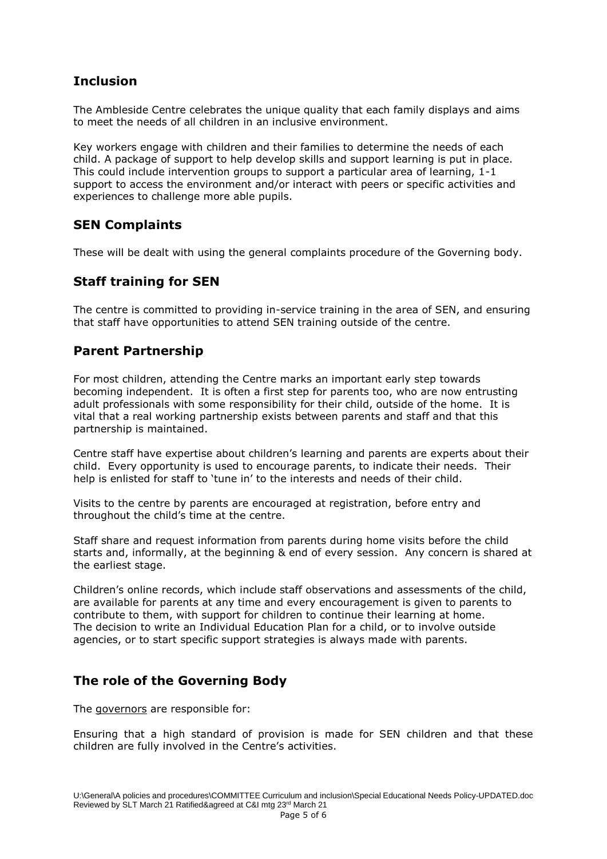# **Inclusion**

The Ambleside Centre celebrates the unique quality that each family displays and aims to meet the needs of all children in an inclusive environment.

Key workers engage with children and their families to determine the needs of each child. A package of support to help develop skills and support learning is put in place. This could include intervention groups to support a particular area of learning, 1-1 support to access the environment and/or interact with peers or specific activities and experiences to challenge more able pupils.

#### **SEN Complaints**

These will be dealt with using the general complaints procedure of the Governing body.

# **Staff training for SEN**

The centre is committed to providing in-service training in the area of SEN, and ensuring that staff have opportunities to attend SEN training outside of the centre.

## **Parent Partnership**

For most children, attending the Centre marks an important early step towards becoming independent. It is often a first step for parents too, who are now entrusting adult professionals with some responsibility for their child, outside of the home. It is vital that a real working partnership exists between parents and staff and that this partnership is maintained.

Centre staff have expertise about children's learning and parents are experts about their child. Every opportunity is used to encourage parents, to indicate their needs. Their help is enlisted for staff to 'tune in' to the interests and needs of their child.

Visits to the centre by parents are encouraged at registration, before entry and throughout the child's time at the centre.

Staff share and request information from parents during home visits before the child starts and, informally, at the beginning & end of every session. Any concern is shared at the earliest stage.

Children's online records, which include staff observations and assessments of the child, are available for parents at any time and every encouragement is given to parents to contribute to them, with support for children to continue their learning at home. The decision to write an Individual Education Plan for a child, or to involve outside agencies, or to start specific support strategies is always made with parents.

#### **The role of the Governing Body**

The governors are responsible for:

Ensuring that a high standard of provision is made for SEN children and that these children are fully involved in the Centre's activities.